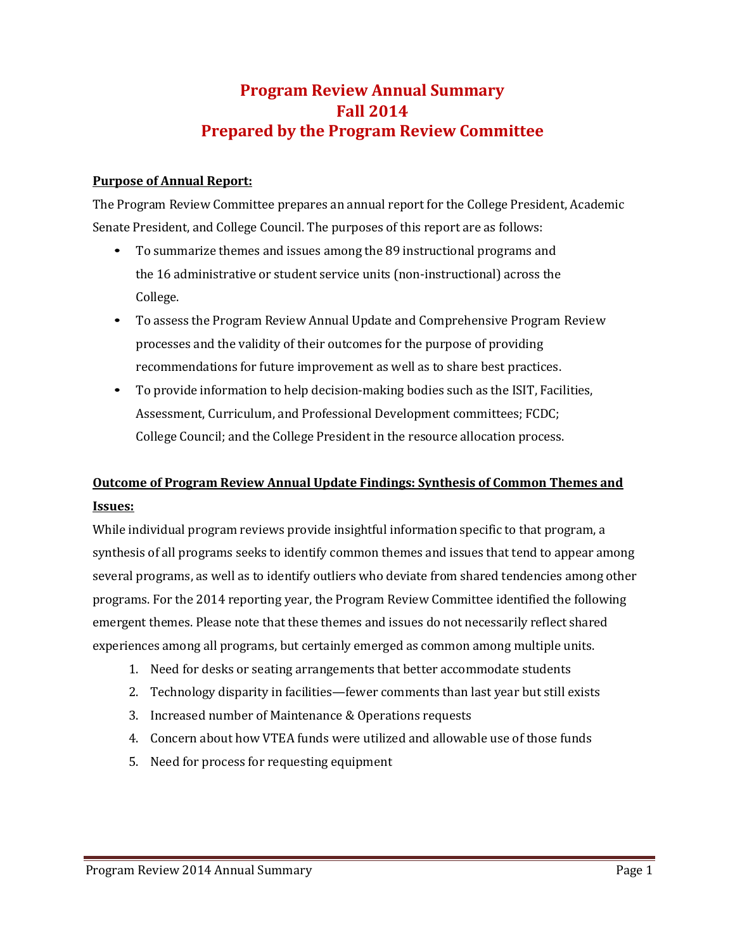# **Program Review Annual Summary Fall 2014 Prepared by the Program Review Committee**

#### **Purpose of Annual Report:**

The Program Review Committee prepares an annual report for the College President, Academic Senate President, and College Council. The purposes of this report are as follows:

- To summarize themes and issues among the 89 instructional programs and the 16 administrative or student service units (non-instructional) across the College.
- To assess the Program Review Annual Update and Comprehensive Program Review processes and the validity of their outcomes for the purpose of providing recommendations for future improvement as well as to share best practices.
- To provide information to help decision-making bodies such as the ISIT, Facilities, Assessment, Curriculum, and Professional Development committees; FCDC; College Council; and the College President in the resource allocation process.

# **Outcome of Program Review Annual Update Findings: Synthesis of Common Themes and Issues:**

While individual program reviews provide insightful information specific to that program, a synthesis of all programs seeks to identify common themes and issues that tend to appear among several programs, as well as to identify outliers who deviate from shared tendencies among other programs. For the 2014 reporting year, the Program Review Committee identified the following emergent themes. Please note that these themes and issues do not necessarily reflect shared experiences among all programs, but certainly emerged as common among multiple units.

- 1. Need for desks or seating arrangements that better accommodate students
- 2. Technology disparity in facilities—fewer comments than last year but still exists
- 3. Increased number of Maintenance & Operations requests
- 4. Concern about how VTEA funds were utilized and allowable use of those funds
- 5. Need for process for requesting equipment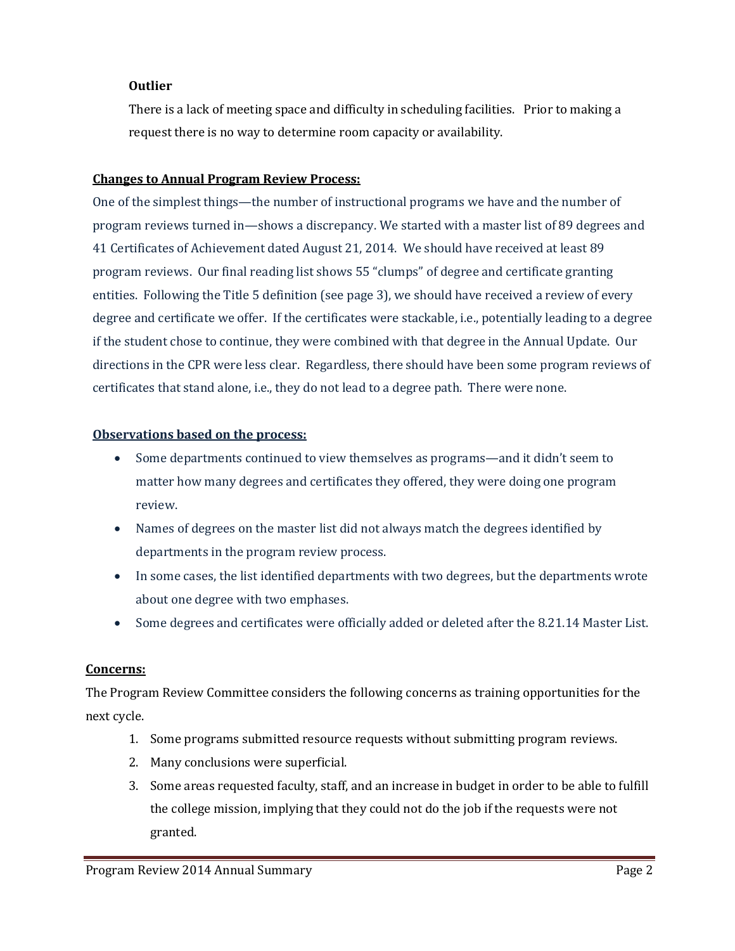### **Outlier**

There is a lack of meeting space and difficulty in scheduling facilities. Prior to making a request there is no way to determine room capacity or availability.

#### **Changes to Annual Program Review Process:**

One of the simplest things—the number of instructional programs we have and the number of program reviews turned in—shows a discrepancy. We started with a master list of 89 degrees and 41 Certificates of Achievement dated August 21, 2014. We should have received at least 89 program reviews. Our final reading list shows 55 "clumps" of degree and certificate granting entities. Following the Title 5 definition (see page 3), we should have received a review of every degree and certificate we offer. If the certificates were stackable, i.e., potentially leading to a degree if the student chose to continue, they were combined with that degree in the Annual Update. Our directions in the CPR were less clear. Regardless, there should have been some program reviews of certificates that stand alone, i.e., they do not lead to a degree path. There were none.

#### **Observations based on the process:**

- Some departments continued to view themselves as programs—and it didn't seem to matter how many degrees and certificates they offered, they were doing one program review.
- Names of degrees on the master list did not always match the degrees identified by departments in the program review process.
- In some cases, the list identified departments with two degrees, but the departments wrote about one degree with two emphases.
- Some degrees and certificates were officially added or deleted after the 8.21.14 Master List.

#### **Concerns:**

The Program Review Committee considers the following concerns as training opportunities for the next cycle.

- 1. Some programs submitted resource requests without submitting program reviews.
- 2. Many conclusions were superficial.
- 3. Some areas requested faculty, staff, and an increase in budget in order to be able to fulfill the college mission, implying that they could not do the job if the requests were not granted.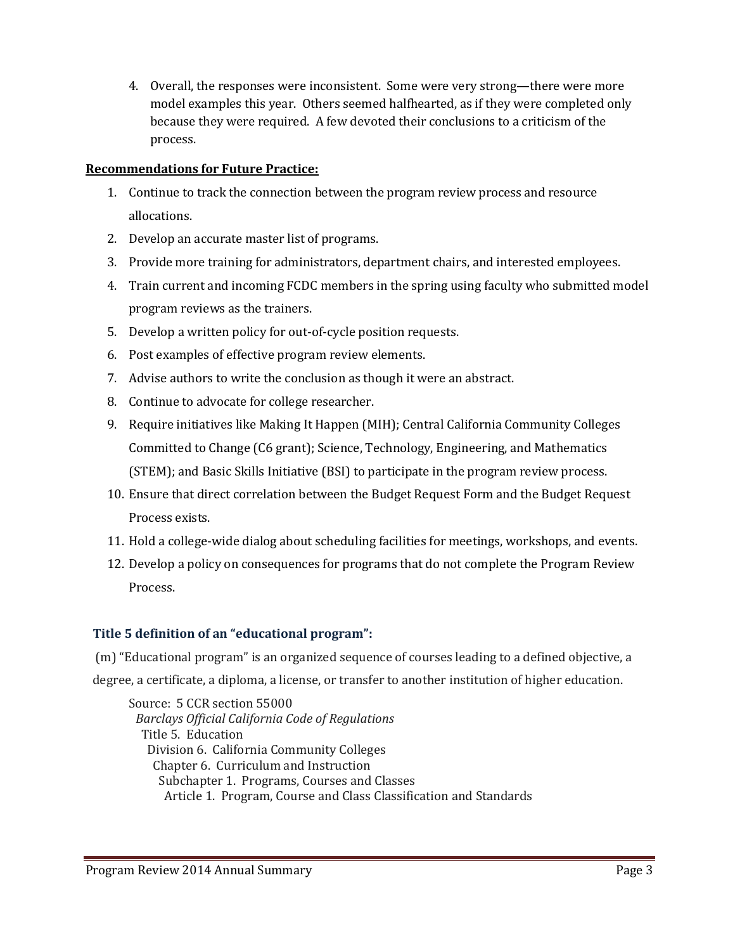4. Overall, the responses were inconsistent. Some were very strong—there were more model examples this year. Others seemed halfhearted, as if they were completed only because they were required. A few devoted their conclusions to a criticism of the process.

### **Recommendations for Future Practice:**

- 1. Continue to track the connection between the program review process and resource allocations.
- 2. Develop an accurate master list of programs.
- 3. Provide more training for administrators, department chairs, and interested employees.
- 4. Train current and incoming FCDC members in the spring using faculty who submitted model program reviews as the trainers.
- 5. Develop a written policy for out-of-cycle position requests.
- 6. Post examples of effective program review elements.
- 7. Advise authors to write the conclusion as though it were an abstract.
- 8. Continue to advocate for college researcher.
- 9. Require initiatives like Making It Happen (MIH); Central California Community Colleges Committed to Change (C6 grant); Science, Technology, Engineering, and Mathematics (STEM); and Basic Skills Initiative (BSI) to participate in the program review process.
- 10. Ensure that direct correlation between the Budget Request Form and the Budget Request Process exists.
- 11. Hold a college-wide dialog about scheduling facilities for meetings, workshops, and events.
- 12. Develop a policy on consequences for programs that do not complete the Program Review Process.

### **Title 5 definition of an "educational program":**

(m) "Educational program" is an organized sequence of courses leading to a defined objective, a degree, a certificate, a diploma, a license, or transfer to another institution of higher education.

Source: 5 CCR section 55000 *Barclays Official California Code of Regulations* Title 5. Education Division 6. California Community Colleges Chapter 6. Curriculum and Instruction Subchapter 1. Programs, Courses and Classes Article 1. Program, Course and Class Classification and Standards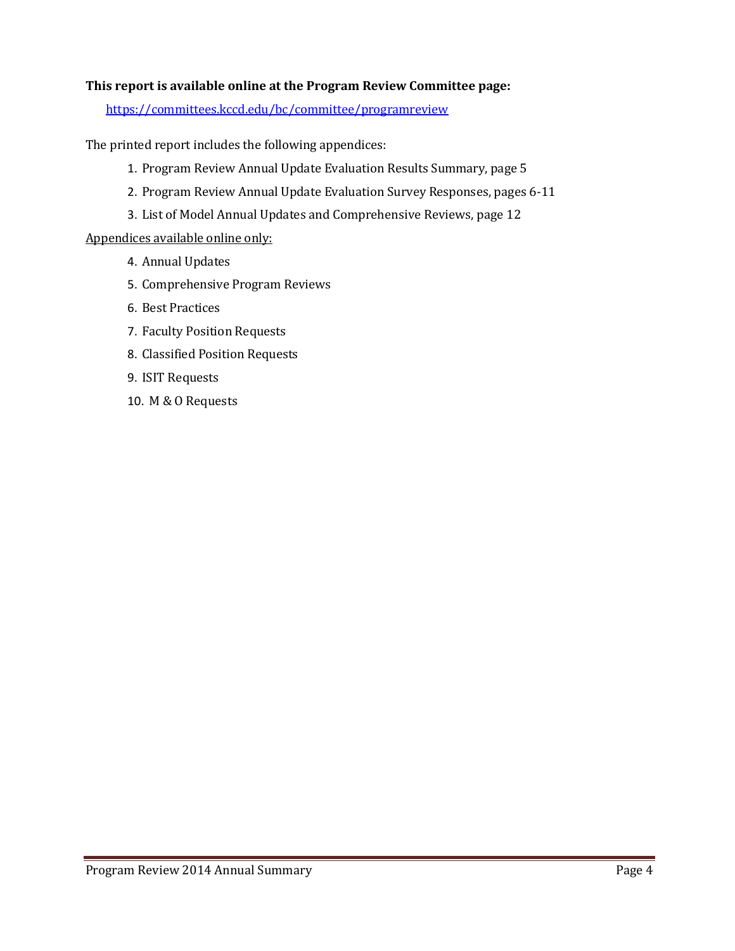#### **This report is available online at the Program Review Committee page:**

<https://committees.kccd.edu/bc/committee/programreview>

The printed report includes the following appendices:

- 1. Program Review Annual Update Evaluation Results Summary, page 5
- 2. Program Review Annual Update Evaluation Survey Responses, pages 6-11
- 3. List of Model Annual Updates and Comprehensive Reviews, page 12

#### Appendices available online only:

- 4. Annual Updates
- 5. Comprehensive Program Reviews
- 6. Best Practices
- 7. Faculty Position Requests
- 8. Classified Position Requests
- 9. ISIT Requests
- 10. M & O Requests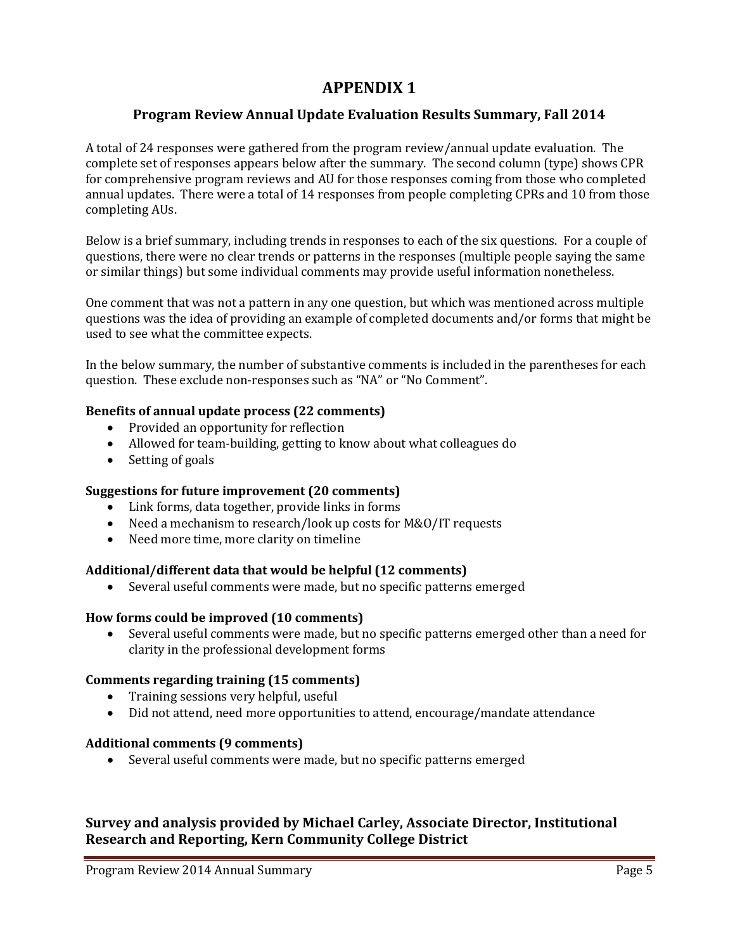# **APPENDIX 1**

### **Program Review Annual Update Evaluation Results Summary, Fall 2014**

A total of 24 responses were gathered from the program review/annual update evaluation. The complete set of responses appears below after the summary. The second column (type) shows CPR for comprehensive program reviews and AU for those responses coming from those who completed annual updates. There were a total of 14 responses from people completing CPRs and 10 from those completing AUs.

Below is a brief summary, including trends in responses to each of the six questions. For a couple of questions, there were no clear trends or patterns in the responses (multiple people saying the same or similar things) but some individual comments may provide useful information nonetheless.

One comment that was not a pattern in any one question, but which was mentioned across multiple questions was the idea of providing an example of completed documents and/or forms that might be used to see what the committee expects.

In the below summary, the number of substantive comments is included in the parentheses for each question. These exclude non-responses such as "NA" or "No Comment".

#### **Benefits of annual update process (22 comments)**

- Provided an opportunity for reflection
- Allowed for team-building, getting to know about what colleagues do
- Setting of goals

#### **Suggestions for future improvement (20 comments)**

- Link forms, data together, provide links in forms
- Need a mechanism to research/look up costs for M&O/IT requests
- Need more time, more clarity on timeline

#### **Additional/different data that would be helpful (12 comments)**

• Several useful comments were made, but no specific patterns emerged

#### **How forms could be improved (10 comments)**

• Several useful comments were made, but no specific patterns emerged other than a need for clarity in the professional development forms

#### **Comments regarding training (15 comments)**

- Training sessions very helpful, useful
- Did not attend, need more opportunities to attend, encourage/mandate attendance

#### **Additional comments (9 comments)**

• Several useful comments were made, but no specific patterns emerged

### **Survey and analysis provided by Michael Carley, Associate Director, Institutional Research and Reporting, Kern Community College District**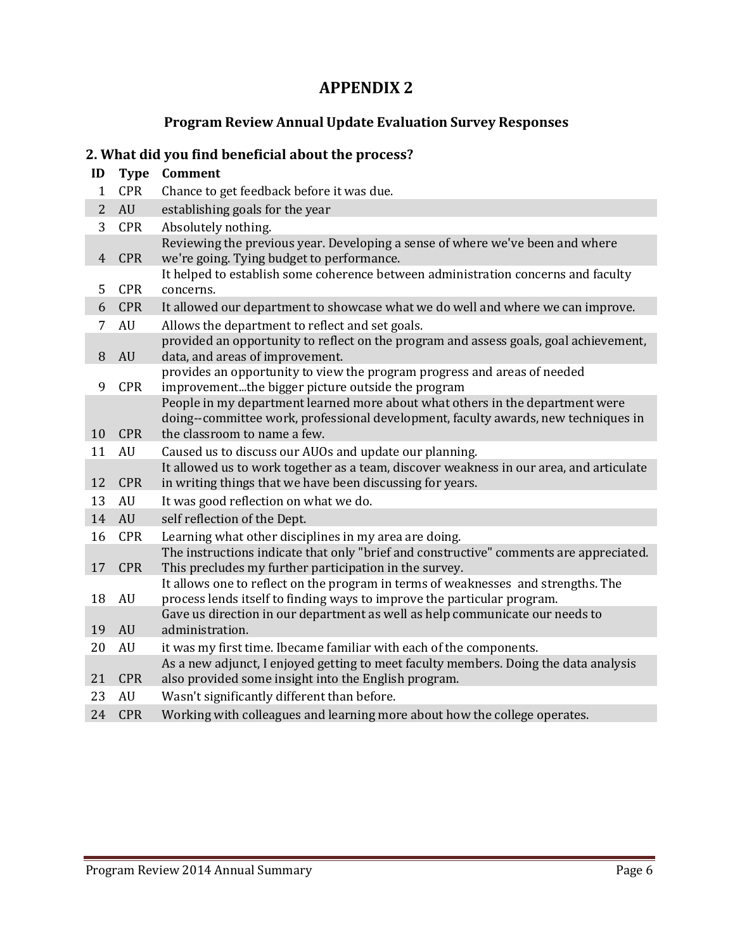# **APPENDIX 2**

## **Program Review Annual Update Evaluation Survey Responses**

## **2. What did you find beneficial about the process?**

# **ID Type Comment** 1 CPR Chance to get feedback before it was due.<br>2 AU establishing goals for the year establishing goals for the year

| 3  | <b>CPR</b> | Absolutely nothing.                                                                                                                                                                                 |
|----|------------|-----------------------------------------------------------------------------------------------------------------------------------------------------------------------------------------------------|
| 4  | <b>CPR</b> | Reviewing the previous year. Developing a sense of where we've been and where<br>we're going. Tying budget to performance.                                                                          |
| 5  | <b>CPR</b> | It helped to establish some coherence between administration concerns and faculty<br>concerns.                                                                                                      |
| 6  | <b>CPR</b> | It allowed our department to showcase what we do well and where we can improve.                                                                                                                     |
| 7  | AU         | Allows the department to reflect and set goals.                                                                                                                                                     |
| 8  | AU         | provided an opportunity to reflect on the program and assess goals, goal achievement,<br>data, and areas of improvement.                                                                            |
| 9  | <b>CPR</b> | provides an opportunity to view the program progress and areas of needed<br>improvementthe bigger picture outside the program                                                                       |
| 10 | <b>CPR</b> | People in my department learned more about what others in the department were<br>doing--committee work, professional development, faculty awards, new techniques in<br>the classroom to name a few. |
| 11 | AU         | Caused us to discuss our AUOs and update our planning.                                                                                                                                              |
|    |            | It allowed us to work together as a team, discover weakness in our area, and articulate                                                                                                             |
| 12 | <b>CPR</b> | in writing things that we have been discussing for years.                                                                                                                                           |
| 13 | AU         | It was good reflection on what we do.                                                                                                                                                               |
| 14 | AU         | self reflection of the Dept.                                                                                                                                                                        |
| 16 | <b>CPR</b> | Learning what other disciplines in my area are doing.                                                                                                                                               |
| 17 | <b>CPR</b> | The instructions indicate that only "brief and constructive" comments are appreciated.<br>This precludes my further participation in the survey.                                                    |
| 18 | AU         | It allows one to reflect on the program in terms of weaknesses and strengths. The<br>process lends itself to finding ways to improve the particular program.                                        |
| 19 | AU         | Gave us direction in our department as well as help communicate our needs to<br>administration.                                                                                                     |
| 20 | AU         | it was my first time. Ibecame familiar with each of the components.                                                                                                                                 |
| 21 | <b>CPR</b> | As a new adjunct, I enjoyed getting to meet faculty members. Doing the data analysis<br>also provided some insight into the English program.                                                        |
|    |            |                                                                                                                                                                                                     |

- 23 AU Wasn't significantly different than before.<br>24 CPR Working with colleagues and learning mor
- Working with colleagues and learning more about how the college operates.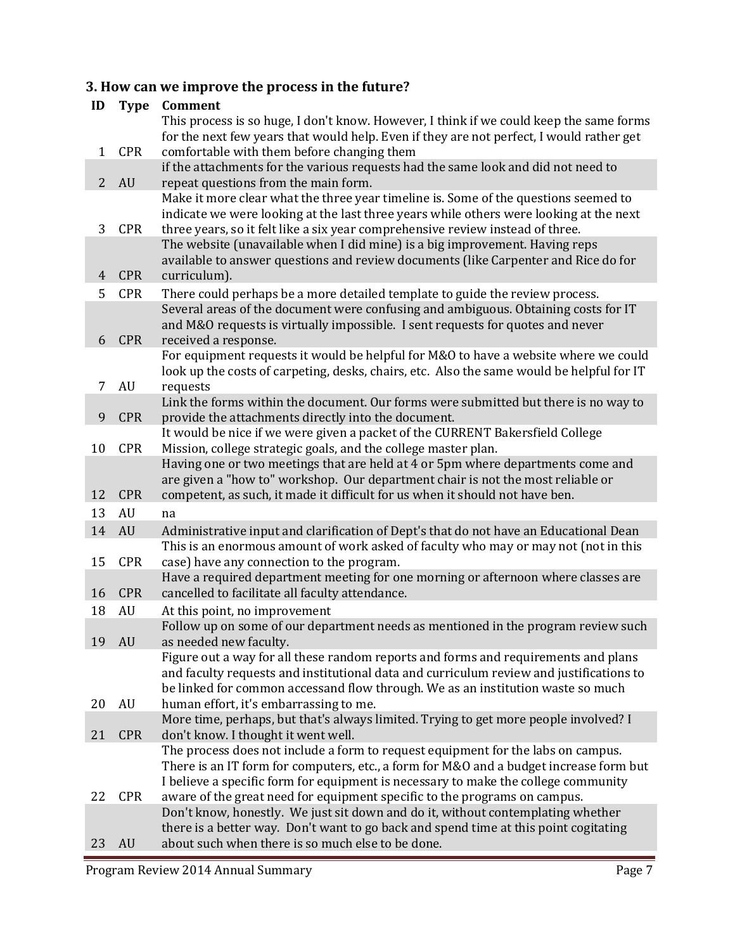## **3. How can we improve the process in the future?**

| ID                                                                                 | <b>Type</b>                                                                                                                                                                      | Comment                                                                                                                                                         |  |
|------------------------------------------------------------------------------------|----------------------------------------------------------------------------------------------------------------------------------------------------------------------------------|-----------------------------------------------------------------------------------------------------------------------------------------------------------------|--|
|                                                                                    |                                                                                                                                                                                  | This process is so huge, I don't know. However, I think if we could keep the same forms                                                                         |  |
|                                                                                    |                                                                                                                                                                                  | for the next few years that would help. Even if they are not perfect, I would rather get                                                                        |  |
| <b>CPR</b><br>comfortable with them before changing them<br>1                      |                                                                                                                                                                                  |                                                                                                                                                                 |  |
|                                                                                    |                                                                                                                                                                                  | if the attachments for the various requests had the same look and did not need to                                                                               |  |
| $\overline{2}$                                                                     | <b>AU</b>                                                                                                                                                                        | repeat questions from the main form.                                                                                                                            |  |
|                                                                                    |                                                                                                                                                                                  | Make it more clear what the three year timeline is. Some of the questions seemed to                                                                             |  |
|                                                                                    |                                                                                                                                                                                  | indicate we were looking at the last three years while others were looking at the next                                                                          |  |
| 3                                                                                  | <b>CPR</b>                                                                                                                                                                       | three years, so it felt like a six year comprehensive review instead of three.                                                                                  |  |
|                                                                                    |                                                                                                                                                                                  | The website (unavailable when I did mine) is a big improvement. Having reps                                                                                     |  |
| 4                                                                                  | <b>CPR</b>                                                                                                                                                                       | available to answer questions and review documents (like Carpenter and Rice do for<br>curriculum).                                                              |  |
|                                                                                    |                                                                                                                                                                                  |                                                                                                                                                                 |  |
| 5                                                                                  | <b>CPR</b><br>There could perhaps be a more detailed template to guide the review process.<br>Several areas of the document were confusing and ambiguous. Obtaining costs for IT |                                                                                                                                                                 |  |
|                                                                                    |                                                                                                                                                                                  | and M&O requests is virtually impossible. I sent requests for quotes and never                                                                                  |  |
| 6                                                                                  | <b>CPR</b>                                                                                                                                                                       | received a response.                                                                                                                                            |  |
|                                                                                    |                                                                                                                                                                                  | For equipment requests it would be helpful for M&O to have a website where we could                                                                             |  |
|                                                                                    |                                                                                                                                                                                  | look up the costs of carpeting, desks, chairs, etc. Also the same would be helpful for IT                                                                       |  |
| 7                                                                                  | AU                                                                                                                                                                               | requests                                                                                                                                                        |  |
|                                                                                    |                                                                                                                                                                                  | Link the forms within the document. Our forms were submitted but there is no way to                                                                             |  |
| 9                                                                                  | <b>CPR</b>                                                                                                                                                                       | provide the attachments directly into the document.                                                                                                             |  |
|                                                                                    |                                                                                                                                                                                  | It would be nice if we were given a packet of the CURRENT Bakersfield College                                                                                   |  |
| <b>CPR</b><br>Mission, college strategic goals, and the college master plan.<br>10 |                                                                                                                                                                                  |                                                                                                                                                                 |  |
|                                                                                    |                                                                                                                                                                                  | Having one or two meetings that are held at 4 or 5pm where departments come and                                                                                 |  |
|                                                                                    |                                                                                                                                                                                  | are given a "how to" workshop. Our department chair is not the most reliable or                                                                                 |  |
| 12                                                                                 | <b>CPR</b>                                                                                                                                                                       | competent, as such, it made it difficult for us when it should not have ben.                                                                                    |  |
| 13                                                                                 | AU                                                                                                                                                                               | na                                                                                                                                                              |  |
| 14                                                                                 | <b>AU</b>                                                                                                                                                                        | Administrative input and clarification of Dept's that do not have an Educational Dean                                                                           |  |
| 15                                                                                 | <b>CPR</b>                                                                                                                                                                       | This is an enormous amount of work asked of faculty who may or may not (not in this<br>case) have any connection to the program.                                |  |
|                                                                                    |                                                                                                                                                                                  | Have a required department meeting for one morning or afternoon where classes are                                                                               |  |
| 16                                                                                 | <b>CPR</b>                                                                                                                                                                       | cancelled to facilitate all faculty attendance.                                                                                                                 |  |
| 18                                                                                 | AU                                                                                                                                                                               | At this point, no improvement                                                                                                                                   |  |
|                                                                                    |                                                                                                                                                                                  | Follow up on some of our department needs as mentioned in the program review such                                                                               |  |
| 19                                                                                 | <b>AU</b>                                                                                                                                                                        | as needed new faculty.                                                                                                                                          |  |
|                                                                                    |                                                                                                                                                                                  | Figure out a way for all these random reports and forms and requirements and plans                                                                              |  |
|                                                                                    |                                                                                                                                                                                  | and faculty requests and institutional data and curriculum review and justifications to                                                                         |  |
|                                                                                    |                                                                                                                                                                                  | be linked for common accessand flow through. We as an institution waste so much                                                                                 |  |
| 20                                                                                 | AU                                                                                                                                                                               | human effort, it's embarrassing to me.                                                                                                                          |  |
|                                                                                    |                                                                                                                                                                                  | More time, perhaps, but that's always limited. Trying to get more people involved? I                                                                            |  |
| 21                                                                                 | <b>CPR</b>                                                                                                                                                                       | don't know. I thought it went well.                                                                                                                             |  |
|                                                                                    |                                                                                                                                                                                  | The process does not include a form to request equipment for the labs on campus.                                                                                |  |
|                                                                                    |                                                                                                                                                                                  | There is an IT form for computers, etc., a form for M&O and a budget increase form but                                                                          |  |
| 22                                                                                 | <b>CPR</b>                                                                                                                                                                       | I believe a specific form for equipment is necessary to make the college community<br>aware of the great need for equipment specific to the programs on campus. |  |
|                                                                                    |                                                                                                                                                                                  | Don't know, honestly. We just sit down and do it, without contemplating whether                                                                                 |  |
|                                                                                    |                                                                                                                                                                                  | there is a better way. Don't want to go back and spend time at this point cogitating                                                                            |  |
| 23                                                                                 | AU                                                                                                                                                                               | about such when there is so much else to be done.                                                                                                               |  |
|                                                                                    |                                                                                                                                                                                  |                                                                                                                                                                 |  |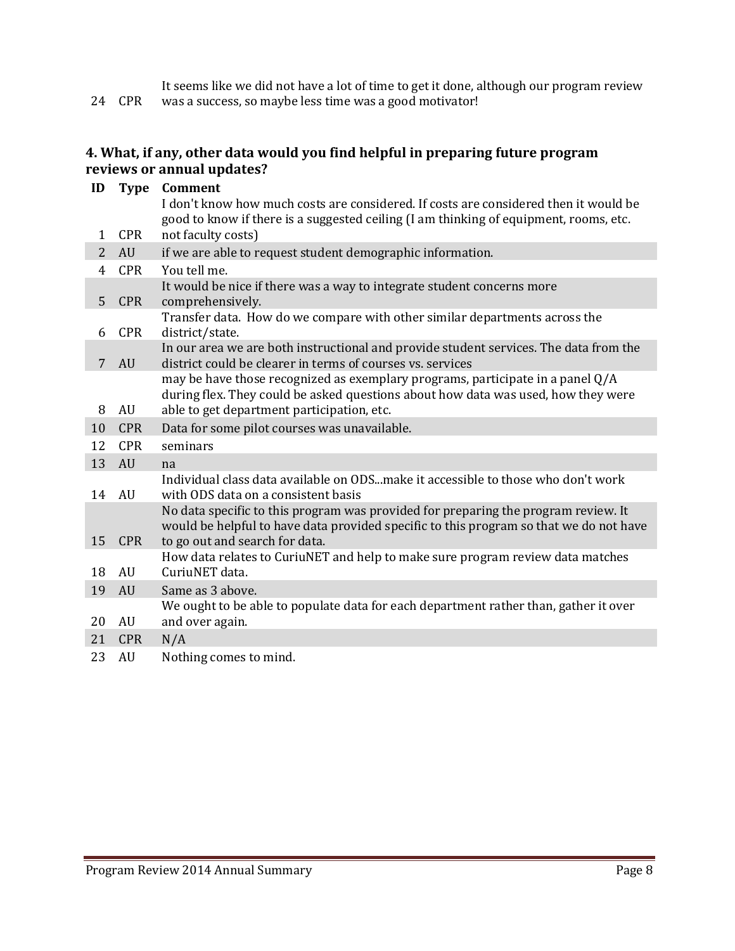24 CPR It seems like we did not have a lot of time to get it done, although our program review was a success, so maybe less time was a good motivator!

### **4. What, if any, other data would you find helpful in preparing future program reviews or annual updates?**

| ID             | <b>Type</b> | Comment<br>I don't know how much costs are considered. If costs are considered then it would be<br>good to know if there is a suggested ceiling (I am thinking of equipment, rooms, etc.                          |  |
|----------------|-------------|-------------------------------------------------------------------------------------------------------------------------------------------------------------------------------------------------------------------|--|
| 1              | <b>CPR</b>  | not faculty costs)                                                                                                                                                                                                |  |
| 2              | <b>AU</b>   | if we are able to request student demographic information.                                                                                                                                                        |  |
| $\overline{4}$ | <b>CPR</b>  | You tell me.                                                                                                                                                                                                      |  |
| 5              | <b>CPR</b>  | It would be nice if there was a way to integrate student concerns more<br>comprehensively.                                                                                                                        |  |
| 6              | <b>CPR</b>  | Transfer data. How do we compare with other similar departments across the<br>district/state.                                                                                                                     |  |
| 7              | AU          | In our area we are both instructional and provide student services. The data from the<br>district could be clearer in terms of courses vs. services                                                               |  |
| 8              | AU          | may be have those recognized as exemplary programs, participate in a panel Q/A<br>during flex. They could be asked questions about how data was used, how they were<br>able to get department participation, etc. |  |
| 10             | <b>CPR</b>  | Data for some pilot courses was unavailable.                                                                                                                                                                      |  |
| 12             | <b>CPR</b>  | seminars                                                                                                                                                                                                          |  |
| 13             | AU          | na                                                                                                                                                                                                                |  |
| 14             | AU          | Individual class data available on ODSmake it accessible to those who don't work<br>with ODS data on a consistent basis                                                                                           |  |
| 15             | <b>CPR</b>  | No data specific to this program was provided for preparing the program review. It<br>would be helpful to have data provided specific to this program so that we do not have<br>to go out and search for data.    |  |
| 18             | AU          | How data relates to CuriuNET and help to make sure program review data matches<br>CuriuNET data.                                                                                                                  |  |
| 19             | <b>AU</b>   | Same as 3 above.                                                                                                                                                                                                  |  |
| 20             | AU          | We ought to be able to populate data for each department rather than, gather it over<br>and over again.                                                                                                           |  |
| 21             | <b>CPR</b>  | N/A                                                                                                                                                                                                               |  |
| 23             | AU          | Nothing comes to mind.                                                                                                                                                                                            |  |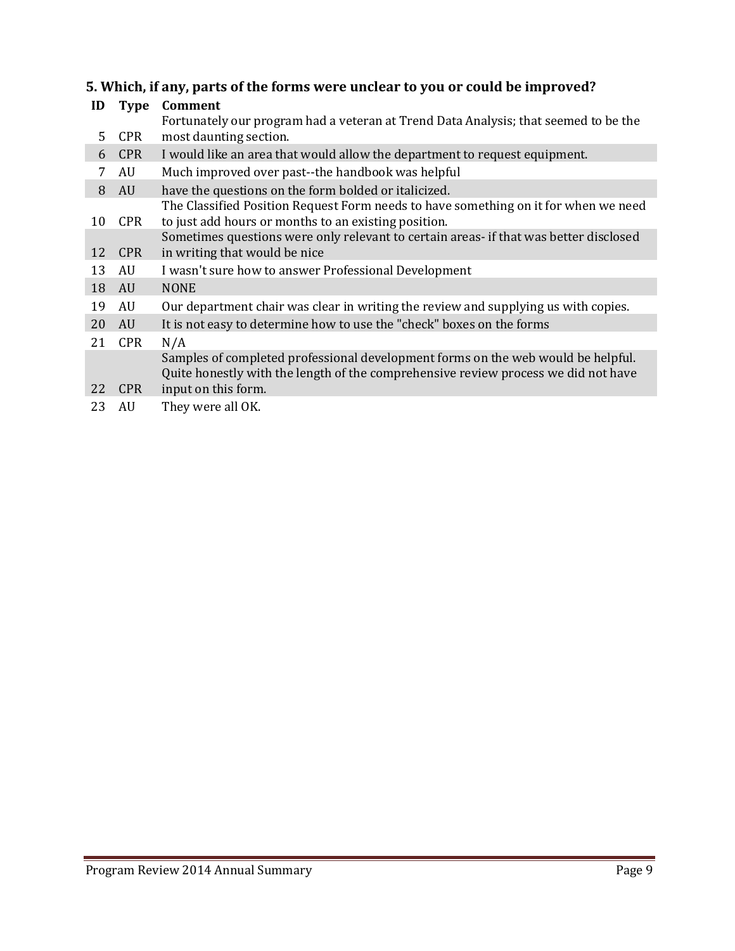# **5. Which, if any, parts of the forms were unclear to you or could be improved?**

| ID | <b>Type</b> | Comment                                                                                                                                                                |
|----|-------------|------------------------------------------------------------------------------------------------------------------------------------------------------------------------|
|    |             | Fortunately our program had a veteran at Trend Data Analysis; that seemed to be the                                                                                    |
| 5  | <b>CPR</b>  | most daunting section.                                                                                                                                                 |
| 6  | <b>CPR</b>  | I would like an area that would allow the department to request equipment.                                                                                             |
| 7  | AU          | Much improved over past--the handbook was helpful                                                                                                                      |
| 8  | AU          | have the questions on the form bolded or italicized.                                                                                                                   |
|    |             | The Classified Position Request Form needs to have something on it for when we need                                                                                    |
| 10 | <b>CPR</b>  | to just add hours or months to an existing position.                                                                                                                   |
|    |             | Sometimes questions were only relevant to certain areas- if that was better disclosed                                                                                  |
| 12 | <b>CPR</b>  | in writing that would be nice                                                                                                                                          |
| 13 | AU          | I wasn't sure how to answer Professional Development                                                                                                                   |
| 18 | AU          | <b>NONE</b>                                                                                                                                                            |
| 19 | AU          | Our department chair was clear in writing the review and supplying us with copies.                                                                                     |
| 20 | AU          | It is not easy to determine how to use the "check" boxes on the forms                                                                                                  |
| 21 | <b>CPR</b>  | N/A                                                                                                                                                                    |
|    |             | Samples of completed professional development forms on the web would be helpful.<br>Quite honestly with the length of the comprehensive review process we did not have |
| 22 | <b>CPR</b>  | input on this form.                                                                                                                                                    |
| 23 | AU          | They were all OK.                                                                                                                                                      |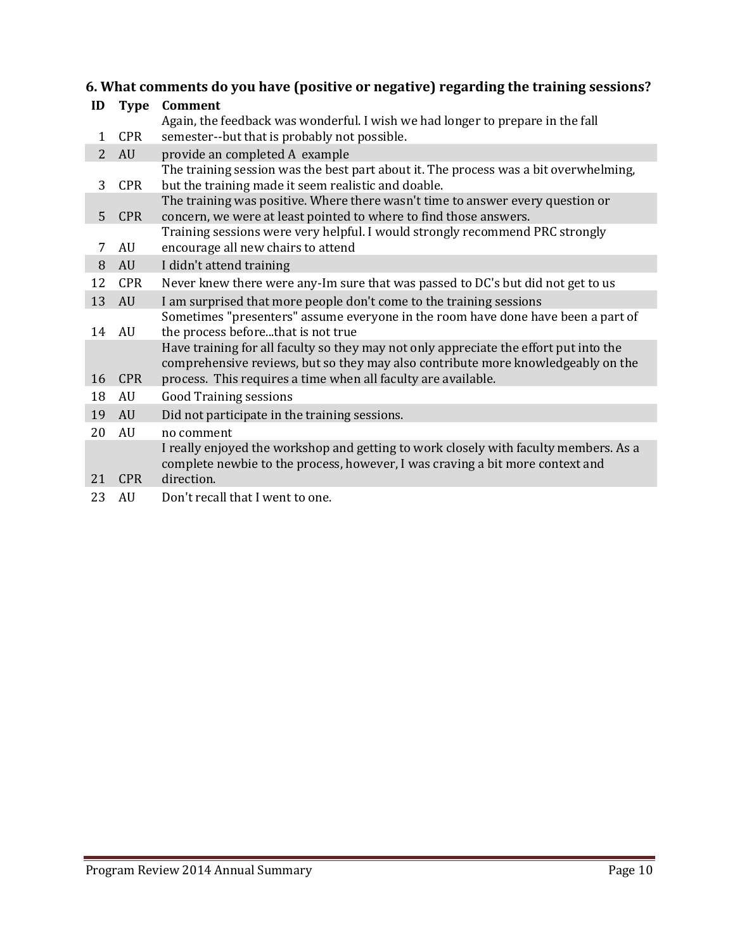## **6. What comments do you have (positive or negative) regarding the training sessions?**

| ID             | <b>Type</b> | Comment                                                                                                                                                                                                                                    |
|----------------|-------------|--------------------------------------------------------------------------------------------------------------------------------------------------------------------------------------------------------------------------------------------|
| 1              | <b>CPR</b>  | Again, the feedback was wonderful. I wish we had longer to prepare in the fall<br>semester--but that is probably not possible.                                                                                                             |
| $\overline{2}$ | AU          | provide an completed A example                                                                                                                                                                                                             |
| 3              | <b>CPR</b>  | The training session was the best part about it. The process was a bit overwhelming,<br>but the training made it seem realistic and doable.                                                                                                |
| 5              | <b>CPR</b>  | The training was positive. Where there wasn't time to answer every question or<br>concern, we were at least pointed to where to find those answers.                                                                                        |
| 7              | AU          | Training sessions were very helpful. I would strongly recommend PRC strongly<br>encourage all new chairs to attend                                                                                                                         |
| 8              | AU          | I didn't attend training                                                                                                                                                                                                                   |
| 12             | <b>CPR</b>  | Never knew there were any-Im sure that was passed to DC's but did not get to us                                                                                                                                                            |
| 13             | AU          | I am surprised that more people don't come to the training sessions                                                                                                                                                                        |
| 14             | AU          | Sometimes "presenters" assume everyone in the room have done have been a part of<br>the process beforethat is not true                                                                                                                     |
| 16             | <b>CPR</b>  | Have training for all faculty so they may not only appreciate the effort put into the<br>comprehensive reviews, but so they may also contribute more knowledgeably on the<br>process. This requires a time when all faculty are available. |
| 18             | AU          | <b>Good Training sessions</b>                                                                                                                                                                                                              |
| 19             | AU          | Did not participate in the training sessions.                                                                                                                                                                                              |
| 20             | AU          | no comment                                                                                                                                                                                                                                 |
| 21             | <b>CPR</b>  | I really enjoyed the workshop and getting to work closely with faculty members. As a<br>complete newbie to the process, however, I was craving a bit more context and<br>direction.                                                        |
| 23             | AU          | Don't recall that I went to one.                                                                                                                                                                                                           |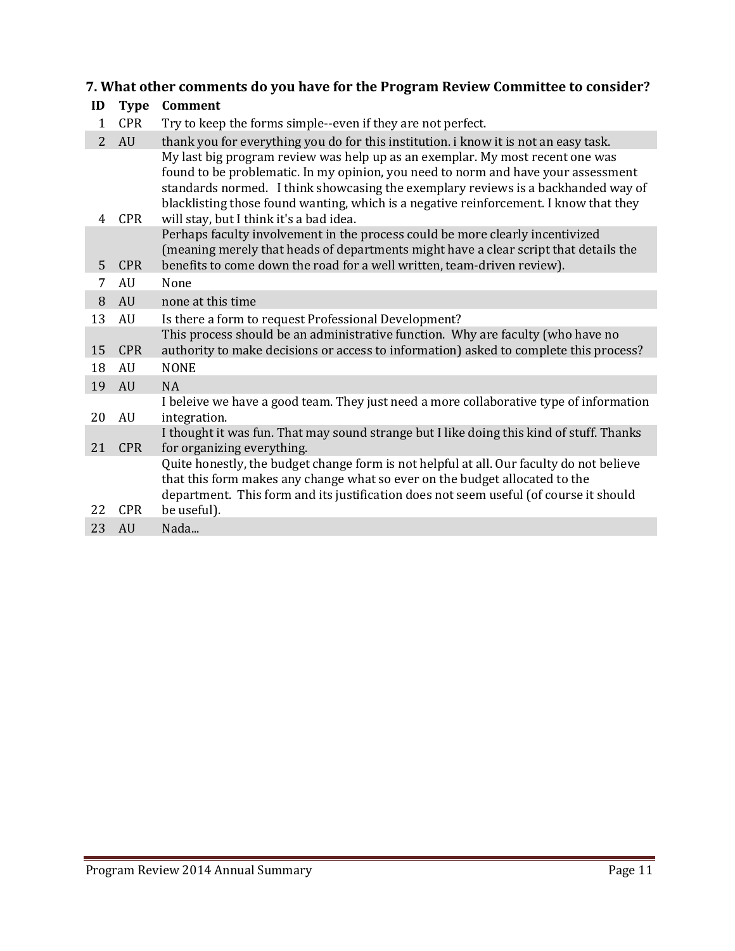## **7. What other comments do you have for the Program Review Committee to consider?**

| ID             | <b>Type</b>      | Comment                                                                                                                                                                                                                                                                                                                                                                                     |
|----------------|------------------|---------------------------------------------------------------------------------------------------------------------------------------------------------------------------------------------------------------------------------------------------------------------------------------------------------------------------------------------------------------------------------------------|
| 1              | <b>CPR</b>       | Try to keep the forms simple--even if they are not perfect.                                                                                                                                                                                                                                                                                                                                 |
| $\overline{2}$ | AU               | thank you for everything you do for this institution. i know it is not an easy task.                                                                                                                                                                                                                                                                                                        |
| 4              | <b>CPR</b>       | My last big program review was help up as an exemplar. My most recent one was<br>found to be problematic. In my opinion, you need to norm and have your assessment<br>standards normed. I think showcasing the exemplary reviews is a backhanded way of<br>blacklisting those found wanting, which is a negative reinforcement. I know that they<br>will stay, but I think it's a bad idea. |
| 5              | <b>CPR</b>       | Perhaps faculty involvement in the process could be more clearly incentivized<br>(meaning merely that heads of departments might have a clear script that details the<br>benefits to come down the road for a well written, team-driven review).                                                                                                                                            |
| 7              | AU               | None                                                                                                                                                                                                                                                                                                                                                                                        |
| 8              | AU               | none at this time                                                                                                                                                                                                                                                                                                                                                                           |
| 13             | AU               | Is there a form to request Professional Development?                                                                                                                                                                                                                                                                                                                                        |
| 15<br>18       | <b>CPR</b><br>AU | This process should be an administrative function. Why are faculty (who have no<br>authority to make decisions or access to information) asked to complete this process?<br><b>NONE</b>                                                                                                                                                                                                     |
| 19             | AU               | <b>NA</b>                                                                                                                                                                                                                                                                                                                                                                                   |
| 20             | AU               | I beleive we have a good team. They just need a more collaborative type of information<br>integration.                                                                                                                                                                                                                                                                                      |
| 21             | <b>CPR</b>       | I thought it was fun. That may sound strange but I like doing this kind of stuff. Thanks<br>for organizing everything.                                                                                                                                                                                                                                                                      |
| 22             | <b>CPR</b>       | Quite honestly, the budget change form is not helpful at all. Our faculty do not believe<br>that this form makes any change what so ever on the budget allocated to the<br>department. This form and its justification does not seem useful (of course it should<br>be useful).                                                                                                             |
| 23             | <b>AU</b>        | Nada                                                                                                                                                                                                                                                                                                                                                                                        |
|                |                  |                                                                                                                                                                                                                                                                                                                                                                                             |